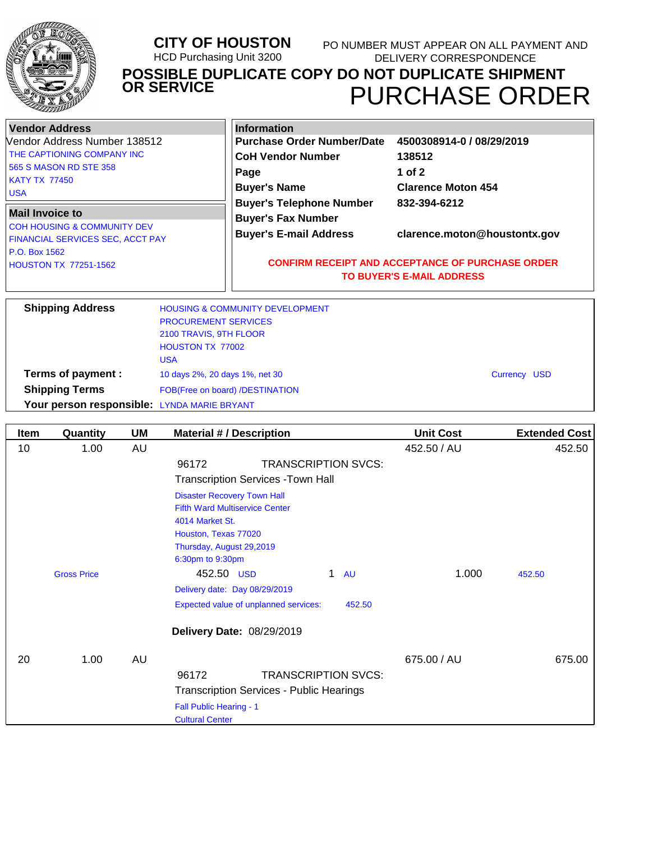

#### **CITY OF HOUSTON** HCD Purchasing Unit 3200 PURCHASE ORDER **POSSIBLE DUPLICATE COPY DO NOT DUPLICATE SHIPMENT OR SERVICE** PO NUMBER MUST APPEAR ON ALL PAYMENT AND DELIVERY CORRESPONDENCE

| Vendor Address                                                             | <b>Information</b>                                           |                                                         |
|----------------------------------------------------------------------------|--------------------------------------------------------------|---------------------------------------------------------|
| Vendor Address Number 138512                                               | <b>Purchase Order Number/Date</b>                            | 4500308914-0 / 08/29/2019                               |
| <b>THE CAPTIONING COMPANY INC</b>                                          | <b>CoH Vendor Number</b>                                     | 138512                                                  |
| 565 S MASON RD STE 358                                                     | Page                                                         | 1 of $2$                                                |
| <b>KATY TX 77450</b><br>l USA                                              | <b>Buyer's Name</b>                                          | <b>Clarence Moton 454</b>                               |
| Mail Invoice to                                                            | <b>Buyer's Telephone Number</b><br><b>Buyer's Fax Number</b> | 832-394-6212                                            |
| <b>COH HOUSING &amp; COMMUNITY DEV</b><br>FINANCIAL SERVICES SEC, ACCT PAY | <b>Buyer's E-mail Address</b>                                | clarence.moton@houstontx.gov                            |
| P.O. Box 1562<br><b>HOUSTON TX 77251-1562</b>                              |                                                              | <b>CONFIRM RECEIPT AND ACCEPTANCE OF PURCHASE ORDER</b> |
|                                                                            |                                                              | <b>TO BUYER'S E-MAIL ADDRESS</b>                        |
|                                                                            |                                                              |                                                         |

| <b>Shipping Address</b>                     | <b>HOUSING &amp; COMMUNITY DEVELOPMENT</b> |              |
|---------------------------------------------|--------------------------------------------|--------------|
|                                             | <b>PROCUREMENT SERVICES</b>                |              |
|                                             | 2100 TRAVIS, 9TH FLOOR                     |              |
|                                             | <b>HOUSTON TX 77002</b>                    |              |
|                                             | <b>USA</b>                                 |              |
| Terms of payment :                          | 10 days 2%, 20 days 1%, net 30             | Currency USD |
| <b>Shipping Terms</b>                       | FOB(Free on board) /DESTINATION            |              |
| Your person responsible: LYNDA MARIE BRYANT |                                            |              |

| <b>Item</b> | Quantity           | <b>UM</b> | <b>Material #/ Description</b>                  | <b>Unit Cost</b> | <b>Extended Cost</b> |
|-------------|--------------------|-----------|-------------------------------------------------|------------------|----------------------|
| 10          | 1.00               | AU        |                                                 | 452.50 / AU      | 452.50               |
|             |                    |           | <b>TRANSCRIPTION SVCS:</b><br>96172             |                  |                      |
|             |                    |           | <b>Transcription Services - Town Hall</b>       |                  |                      |
|             |                    |           | <b>Disaster Recovery Town Hall</b>              |                  |                      |
|             |                    |           | <b>Fifth Ward Multiservice Center</b>           |                  |                      |
|             |                    |           | 4014 Market St.                                 |                  |                      |
|             |                    |           | Houston, Texas 77020                            |                  |                      |
|             |                    |           | Thursday, August 29,2019                        |                  |                      |
|             |                    |           | 6:30pm to 9:30pm                                |                  |                      |
|             | <b>Gross Price</b> |           | 452.50 USD<br>1<br><b>AU</b>                    | 1.000            | 452.50               |
|             |                    |           | Delivery date: Day 08/29/2019                   |                  |                      |
|             |                    |           | Expected value of unplanned services:<br>452.50 |                  |                      |
|             |                    |           | Delivery Date: 08/29/2019                       |                  |                      |
|             |                    |           |                                                 |                  |                      |
| 20          | 1.00               | AU        |                                                 | 675.00 / AU      | 675.00               |
|             |                    |           | <b>TRANSCRIPTION SVCS:</b><br>96172             |                  |                      |
|             |                    |           | <b>Transcription Services - Public Hearings</b> |                  |                      |
|             |                    |           | Fall Public Hearing - 1                         |                  |                      |
|             |                    |           | <b>Cultural Center</b>                          |                  |                      |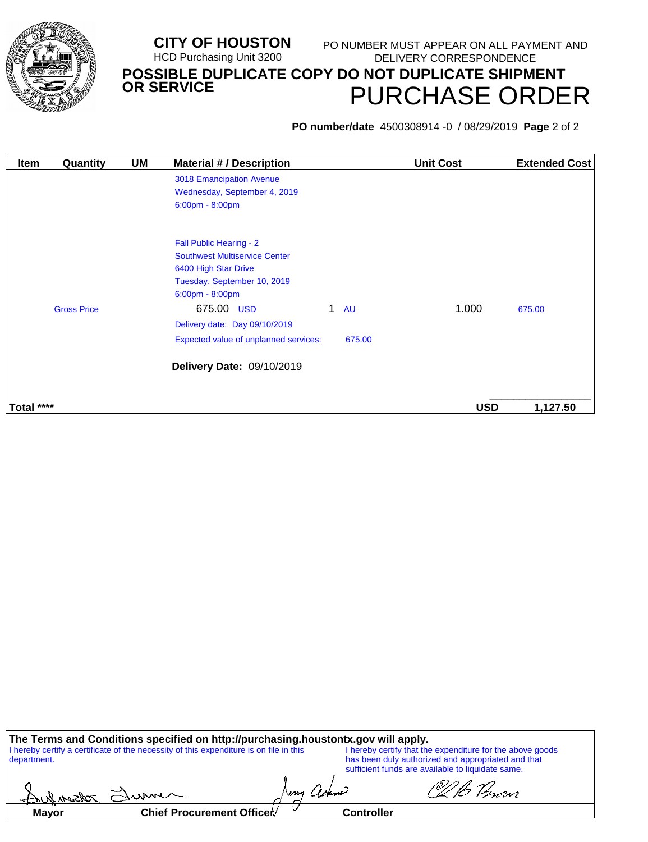

#### **CITY OF HOUSTON** HCD Purchasing Unit 3200 PURCHASE ORDER **POSSIBLE DUPLICATE COPY DO NOT DUPLICATE SHIPMENT OR SERVICE** PO NUMBER MUST APPEAR ON ALL PAYMENT AND DELIVERY CORRESPONDENCE

**PO number/date** 4500308914 -0 / 08/29/2019 **Page** 2 of 2

| <b>Item</b> | Quantity           | UM | <b>Material #/Description</b>                                                                                                                                                                              |             |           | <b>Unit Cost</b> | <b>Extended Cost</b> |
|-------------|--------------------|----|------------------------------------------------------------------------------------------------------------------------------------------------------------------------------------------------------------|-------------|-----------|------------------|----------------------|
|             |                    |    | 3018 Emancipation Avenue<br>Wednesday, September 4, 2019<br>$6:00 \text{pm} - 8:00 \text{pm}$                                                                                                              |             |           |                  |                      |
|             | <b>Gross Price</b> |    | Fall Public Hearing - 2<br><b>Southwest Multiservice Center</b><br>6400 High Star Drive<br>Tuesday, September 10, 2019<br>$6:00 \text{pm} - 8:00 \text{pm}$<br>675.00 USD<br>Delivery date: Day 09/10/2019 | $\mathbf 1$ | <b>AU</b> | 1.000            | 675.00               |
|             |                    |    | Expected value of unplanned services:<br>Delivery Date: 09/10/2019                                                                                                                                         |             | 675.00    |                  |                      |
| Total ****  |                    |    |                                                                                                                                                                                                            |             |           | <b>USD</b>       | 1,127.50             |

| The Terms and Conditions specified on http://purchasing.houstontx.gov will apply.                     |              |                                                                                                                                                                      |  |
|-------------------------------------------------------------------------------------------------------|--------------|----------------------------------------------------------------------------------------------------------------------------------------------------------------------|--|
| I hereby certify a certificate of the necessity of this expenditure is on file in this<br>department. |              | I hereby certify that the expenditure for the above goods<br>has been duly authorized and appropriated and that<br>sufficient funds are available to liquidate same. |  |
| L. Durston Flixance                                                                                   | Neny ackerne | O2 Person                                                                                                                                                            |  |

Mayor **Chief Procurement Officer** Controller

Iwm

 $\subset$ 

adssenhid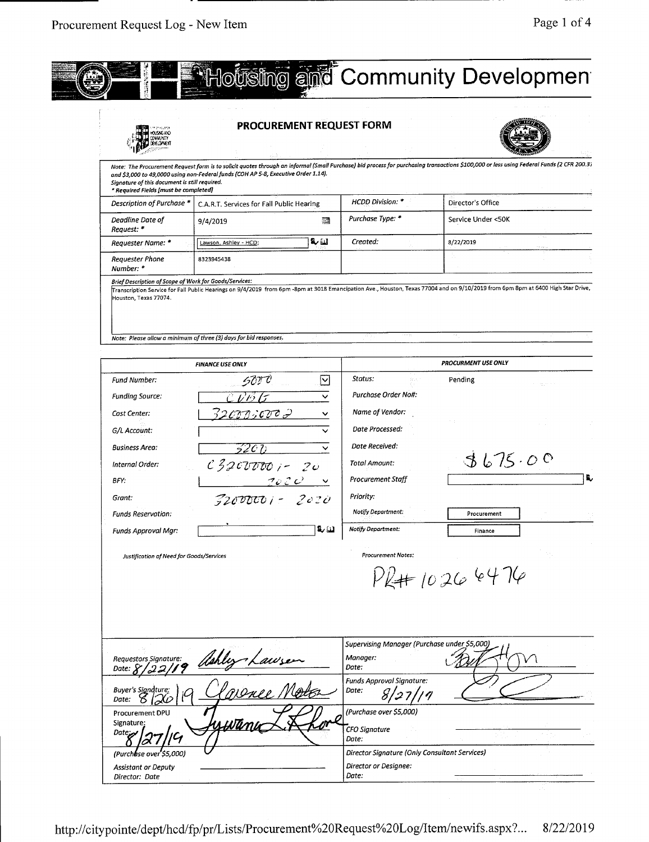

|                                                                                        | <b>PROCUREMENT REQUEST FORM</b>                                                    |              |                                                                   |                                                                                                                                                                                          |
|----------------------------------------------------------------------------------------|------------------------------------------------------------------------------------|--------------|-------------------------------------------------------------------|------------------------------------------------------------------------------------------------------------------------------------------------------------------------------------------|
| Signature of this document is still required.<br>* Required Fields [must be completed] | and \$3,000 to 49,0000 using non-Federal funds (COH AP 5-8, Executive Order 1.14). |              |                                                                   | Note: The Procurement Request form is to solicit quotes through an informal (Small Purchase) bid process for purchasing transactions \$100,000 or less using Federal Funds (2 CFR 200.3; |
| Description of Purchase *                                                              | C.A.R.T. Services for Fall Public Hearing                                          |              | <b>HCDD Division: *</b>                                           | Director's Office                                                                                                                                                                        |
| Deadline Date of<br>Request: *                                                         | 9/4/2019                                                                           | 躢            | Purchase Type: *                                                  | Service Under <50K                                                                                                                                                                       |
| Requester Name: *                                                                      | Lawson, Ashley - HCD;                                                              | لمنا ما؟     | Created:                                                          | 8/22/2019                                                                                                                                                                                |
| Requester Phone<br>Number: *                                                           | 8323945438                                                                         |              |                                                                   |                                                                                                                                                                                          |
| Houston, Texas 77074.                                                                  | Note: Please allow a minimum of three (3) days for bid responses.                  |              |                                                                   | Transcription Service for Fall Public Hearings on 9/4/2019 from 6pm -8pm at 3018 Emancipation Ave., Houston, Texas 77004 and on 9/10/2019 from 6pm 8pm at 6400 High Star Drive,          |
|                                                                                        | <b>FINANCE USE ONLY</b>                                                            |              |                                                                   | PROCURMENT USE ONLY                                                                                                                                                                      |
| Fund Number:                                                                           |                                                                                    | $\checkmark$ | Status:                                                           | Pending                                                                                                                                                                                  |
| <b>Funding Source:</b>                                                                 |                                                                                    |              | <b>Purchase Order No#:</b>                                        |                                                                                                                                                                                          |
| Cost Center:                                                                           | 32 org : cv c 9                                                                    |              | Name of Vendor:                                                   |                                                                                                                                                                                          |
| G/L Account:                                                                           |                                                                                    |              | Date Processed:                                                   |                                                                                                                                                                                          |
|                                                                                        |                                                                                    |              | Date Received:                                                    |                                                                                                                                                                                          |
| <b>Business Area:</b>                                                                  | 'C 7)<br>52                                                                        | $\checkmark$ | Total Amount:                                                     | 3675.00                                                                                                                                                                                  |
| Internal Order:                                                                        | $c3200000 - 20$                                                                    |              | Procurement Staff                                                 |                                                                                                                                                                                          |
| BFY.                                                                                   | $2020 - 8$                                                                         |              |                                                                   |                                                                                                                                                                                          |
| Grant:                                                                                 | $7200000 - 2020$                                                                   |              | Priority:<br>Notify Department:                                   |                                                                                                                                                                                          |
| <b>Funds Reservation:</b>                                                              |                                                                                    |              | Notify Department:                                                | Procurement                                                                                                                                                                              |
| Funds Approval Mgr:                                                                    |                                                                                    | لنا به       |                                                                   | Finance                                                                                                                                                                                  |
| Justification of Need for Goods/Services                                               |                                                                                    |              | <b>Procurement Notes:</b>                                         |                                                                                                                                                                                          |
|                                                                                        |                                                                                    |              |                                                                   | $114 + 102664$                                                                                                                                                                           |
| Requestors Signature:<br>Date: $X$<br>'22,                                             | Hahley hawsen                                                                      |              | Supervising Manager (Purchase under \$5,000)<br>Manager:<br>Date: |                                                                                                                                                                                          |
| Buyer's Signdture:<br>Date:                                                            |                                                                                    |              | <b>Funds Approval Signature:</b><br>Date:<br>81<br>27             |                                                                                                                                                                                          |
| Procurement DPU<br>Signature:<br>Date <sub>r</sub>                                     | <u>uwun</u>                                                                        |              | (Purchase over \$5,000)<br><b>CFO Signature</b><br>Date:          |                                                                                                                                                                                          |
|                                                                                        |                                                                                    |              | Director Signature (Only Consultant Services)                     |                                                                                                                                                                                          |
| (Purch <b>u</b> se over \$5,000)                                                       |                                                                                    |              |                                                                   |                                                                                                                                                                                          |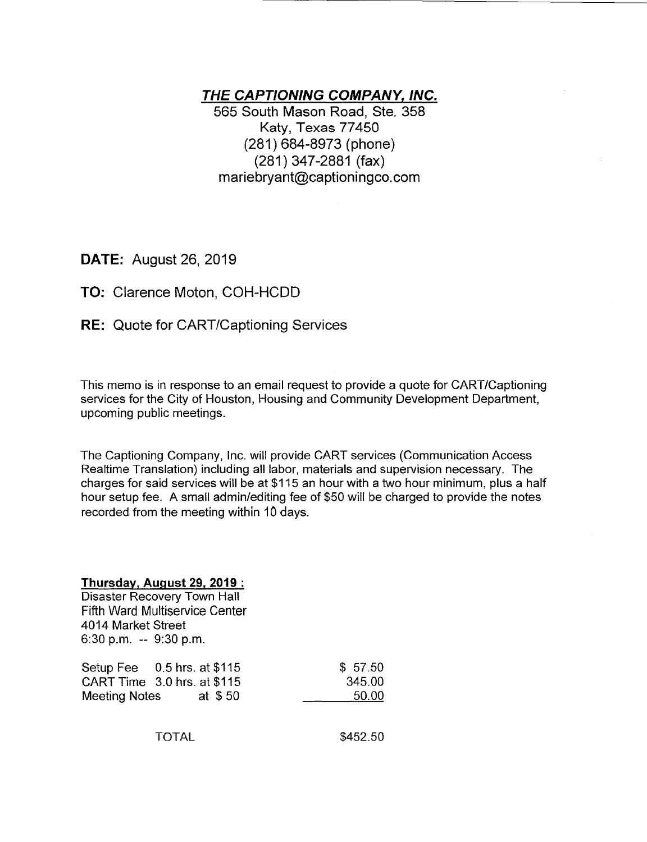# **THE CAPTIONING COMPANY, INC.**

565 South Mason Road, Ste. 358 Katy, Texas 77450 (281) 684-8973 (phone) (281) 347-2881 (fax) mariebryant@captioningco.com

DATE: August 26, 2019

# TO: Clarence Moton, COH-HCDD

**RE:** Quote for CART/Captioning Services

This memo is in response to an email request to provide a quote for CART/Captioning services for the City of Houston, Housing and Community Development Department, upcoming public meetings.

The Captioning Company, Inc. will provide CART services (Communication Access Realtime Translation) including all labor, materials and supervision necessary. The charges for said services will be at \$1 15 an hour with a two hour minimum, plus a half hour setup fee. A small admin/editing fee of \$50 will be charged to provide the notes recorded from the meeting within 10 days.

### **Thursday, Auqust 29. 2019:**

Disaster Recovery Town Hall Fifth Ward Multiservice Center 4014 Market Street 6:30 p.m. -- 9:30 p.m.

| Setup Fee $0.5$ hrs. at \$115 |  |         | \$57.50 |
|-------------------------------|--|---------|---------|
| CART Time 3.0 hrs. at \$115   |  |         | 345.00  |
| <b>Meeting Notes</b>          |  | at \$50 | 50.00   |